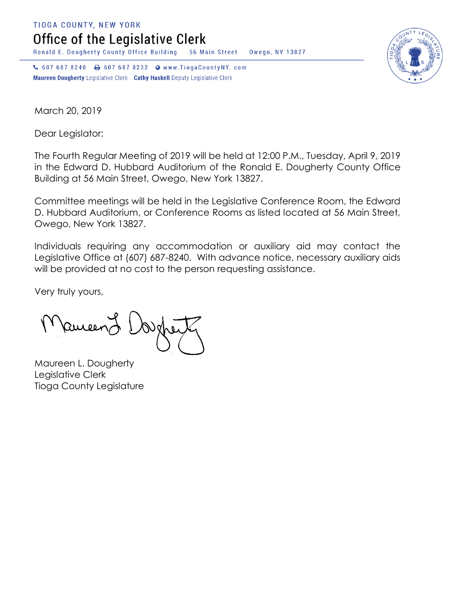**TIOGA COUNTY, NEW YORK** 

Office of the Legislative Clerk

Ronald E. Dougherty County Office Building 56 Main Street Owego, NY 13827

↓ 607 687 8240 → 607 687 8232 • www.TiogaCountyNY.com Maureen Dougherty Legislative Clerk Cathy Haskell Deputy Legislative Clerk



March 20, 2019

Dear Legislator:

The Fourth Regular Meeting of 2019 will be held at 12:00 P.M., Tuesday, April 9, 2019 in the Edward D. Hubbard Auditorium of the Ronald E. Dougherty County Office Building at 56 Main Street, Owego, New York 13827.

Committee meetings will be held in the Legislative Conference Room, the Edward D. Hubbard Auditorium, or Conference Rooms as listed located at 56 Main Street, Owego, New York 13827.

Individuals requiring any accommodation or auxiliary aid may contact the Legislative Office at (607) 687-8240. With advance notice, necessary auxiliary aids will be provided at no cost to the person requesting assistance.

Very truly yours,

Remeen

Maureen L. Dougherty Legislative Clerk Tioga County Legislature